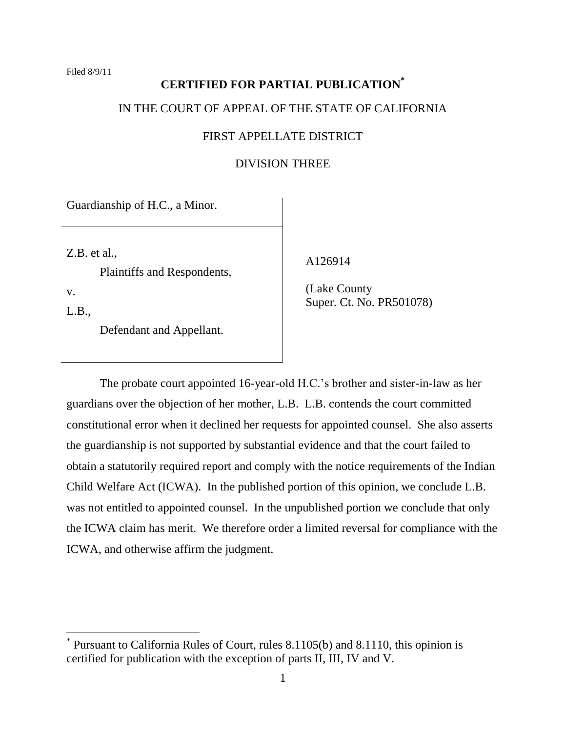# **CERTIFIED FOR PARTIAL PUBLICATION\*** IN THE COURT OF APPEAL OF THE STATE OF CALIFORNIA

# FIRST APPELLATE DISTRICT

# DIVISION THREE

Guardianship of H.C., a Minor.

Z.B. et al.,

Plaintiffs and Respondents,

v.

 $\overline{a}$ 

L.B.,

Defendant and Appellant.

A126914

 (Lake County Super. Ct. No. PR501078)

The probate court appointed 16-year-old H.C."s brother and sister-in-law as her guardians over the objection of her mother, L.B. L.B. contends the court committed constitutional error when it declined her requests for appointed counsel. She also asserts the guardianship is not supported by substantial evidence and that the court failed to obtain a statutorily required report and comply with the notice requirements of the Indian Child Welfare Act (ICWA). In the published portion of this opinion, we conclude L.B. was not entitled to appointed counsel. In the unpublished portion we conclude that only the ICWA claim has merit. We therefore order a limited reversal for compliance with the ICWA, and otherwise affirm the judgment.

<sup>\*</sup> Pursuant to California Rules of Court, rules 8.1105(b) and 8.1110, this opinion is certified for publication with the exception of parts II, III, IV and V.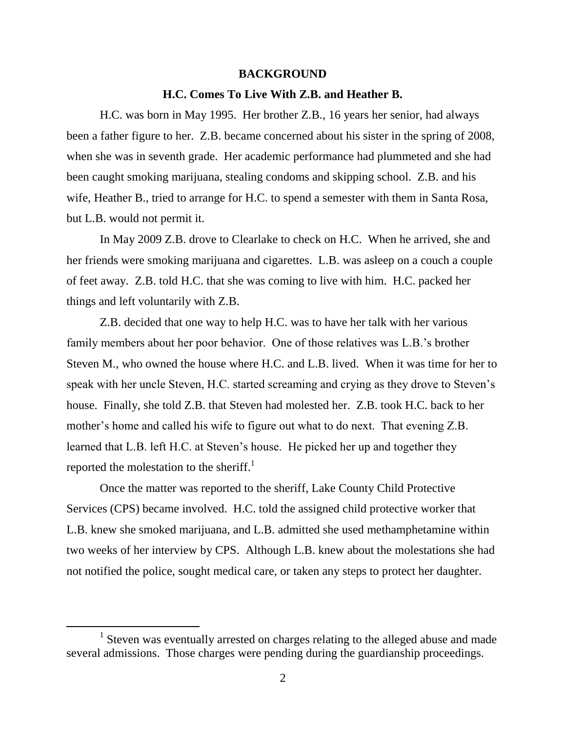#### **BACKGROUND**

#### **H.C. Comes To Live With Z.B. and Heather B.**

H.C. was born in May 1995. Her brother Z.B., 16 years her senior, had always been a father figure to her. Z.B. became concerned about his sister in the spring of 2008, when she was in seventh grade. Her academic performance had plummeted and she had been caught smoking marijuana, stealing condoms and skipping school. Z.B. and his wife, Heather B., tried to arrange for H.C. to spend a semester with them in Santa Rosa, but L.B. would not permit it.

In May 2009 Z.B. drove to Clearlake to check on H.C. When he arrived, she and her friends were smoking marijuana and cigarettes. L.B. was asleep on a couch a couple of feet away. Z.B. told H.C. that she was coming to live with him. H.C. packed her things and left voluntarily with Z.B.

Z.B. decided that one way to help H.C. was to have her talk with her various family members about her poor behavior. One of those relatives was L.B."s brother Steven M., who owned the house where H.C. and L.B. lived. When it was time for her to speak with her uncle Steven, H.C. started screaming and crying as they drove to Steven's house. Finally, she told Z.B. that Steven had molested her. Z.B. took H.C. back to her mother's home and called his wife to figure out what to do next. That evening Z.B. learned that L.B. left H.C. at Steven"s house. He picked her up and together they reported the molestation to the sheriff.<sup>1</sup>

Once the matter was reported to the sheriff, Lake County Child Protective Services (CPS) became involved. H.C. told the assigned child protective worker that L.B. knew she smoked marijuana, and L.B. admitted she used methamphetamine within two weeks of her interview by CPS. Although L.B. knew about the molestations she had not notified the police, sought medical care, or taken any steps to protect her daughter.

 $\overline{a}$ 

<sup>&</sup>lt;sup>1</sup> Steven was eventually arrested on charges relating to the alleged abuse and made several admissions. Those charges were pending during the guardianship proceedings.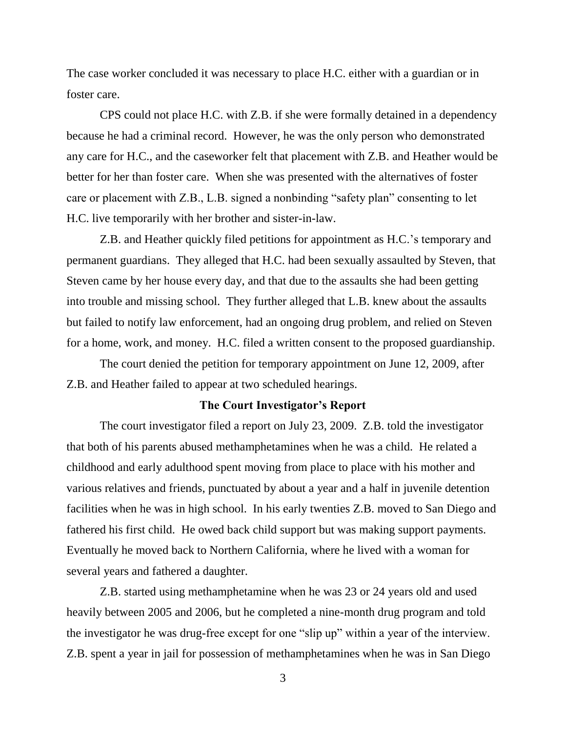The case worker concluded it was necessary to place H.C. either with a guardian or in foster care.

CPS could not place H.C. with Z.B. if she were formally detained in a dependency because he had a criminal record. However, he was the only person who demonstrated any care for H.C., and the caseworker felt that placement with Z.B. and Heather would be better for her than foster care. When she was presented with the alternatives of foster care or placement with Z.B., L.B. signed a nonbinding "safety plan" consenting to let H.C. live temporarily with her brother and sister-in-law.

Z.B. and Heather quickly filed petitions for appointment as H.C."s temporary and permanent guardians. They alleged that H.C. had been sexually assaulted by Steven, that Steven came by her house every day, and that due to the assaults she had been getting into trouble and missing school. They further alleged that L.B. knew about the assaults but failed to notify law enforcement, had an ongoing drug problem, and relied on Steven for a home, work, and money. H.C. filed a written consent to the proposed guardianship.

The court denied the petition for temporary appointment on June 12, 2009, after Z.B. and Heather failed to appear at two scheduled hearings.

#### **The Court Investigator's Report**

The court investigator filed a report on July 23, 2009. Z.B. told the investigator that both of his parents abused methamphetamines when he was a child. He related a childhood and early adulthood spent moving from place to place with his mother and various relatives and friends, punctuated by about a year and a half in juvenile detention facilities when he was in high school. In his early twenties Z.B. moved to San Diego and fathered his first child. He owed back child support but was making support payments. Eventually he moved back to Northern California, where he lived with a woman for several years and fathered a daughter.

Z.B. started using methamphetamine when he was 23 or 24 years old and used heavily between 2005 and 2006, but he completed a nine-month drug program and told the investigator he was drug-free except for one "slip up" within a year of the interview. Z.B. spent a year in jail for possession of methamphetamines when he was in San Diego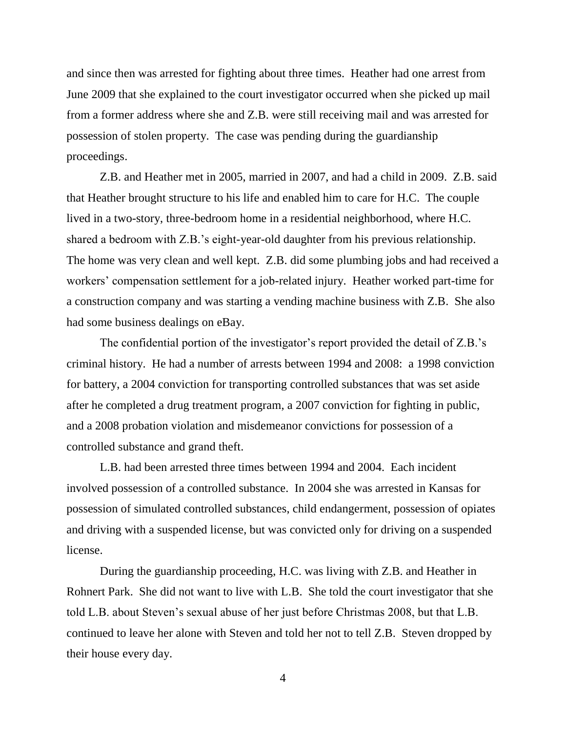and since then was arrested for fighting about three times. Heather had one arrest from June 2009 that she explained to the court investigator occurred when she picked up mail from a former address where she and Z.B. were still receiving mail and was arrested for possession of stolen property. The case was pending during the guardianship proceedings.

Z.B. and Heather met in 2005, married in 2007, and had a child in 2009. Z.B. said that Heather brought structure to his life and enabled him to care for H.C. The couple lived in a two-story, three-bedroom home in a residential neighborhood, where H.C. shared a bedroom with Z.B."s eight-year-old daughter from his previous relationship. The home was very clean and well kept. Z.B. did some plumbing jobs and had received a workers' compensation settlement for a job-related injury. Heather worked part-time for a construction company and was starting a vending machine business with Z.B. She also had some business dealings on eBay.

The confidential portion of the investigator's report provided the detail of Z.B.'s criminal history. He had a number of arrests between 1994 and 2008: a 1998 conviction for battery, a 2004 conviction for transporting controlled substances that was set aside after he completed a drug treatment program, a 2007 conviction for fighting in public, and a 2008 probation violation and misdemeanor convictions for possession of a controlled substance and grand theft.

L.B. had been arrested three times between 1994 and 2004. Each incident involved possession of a controlled substance. In 2004 she was arrested in Kansas for possession of simulated controlled substances, child endangerment, possession of opiates and driving with a suspended license, but was convicted only for driving on a suspended license.

During the guardianship proceeding, H.C. was living with Z.B. and Heather in Rohnert Park. She did not want to live with L.B. She told the court investigator that she told L.B. about Steven"s sexual abuse of her just before Christmas 2008, but that L.B. continued to leave her alone with Steven and told her not to tell Z.B. Steven dropped by their house every day.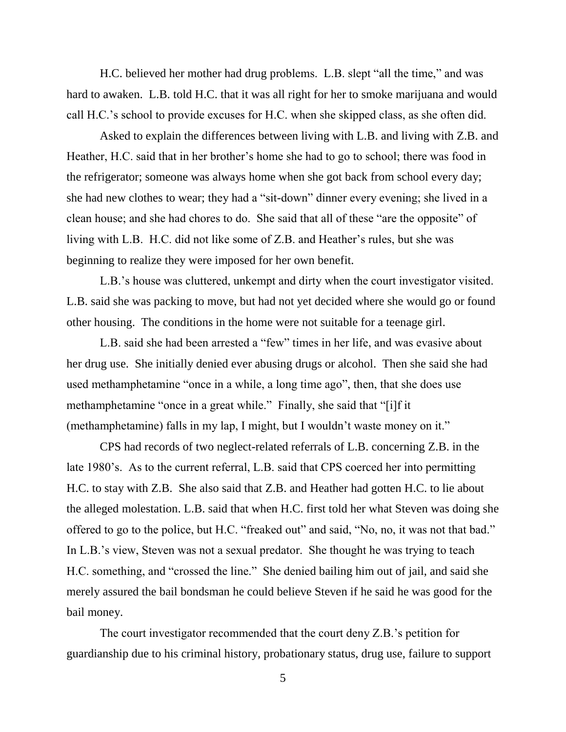H.C. believed her mother had drug problems. L.B. slept "all the time," and was hard to awaken. L.B. told H.C. that it was all right for her to smoke marijuana and would call H.C."s school to provide excuses for H.C. when she skipped class, as she often did.

Asked to explain the differences between living with L.B. and living with Z.B. and Heather, H.C. said that in her brother's home she had to go to school; there was food in the refrigerator; someone was always home when she got back from school every day; she had new clothes to wear; they had a "sit-down" dinner every evening; she lived in a clean house; and she had chores to do. She said that all of these "are the opposite" of living with L.B. H.C. did not like some of Z.B. and Heather"s rules, but she was beginning to realize they were imposed for her own benefit.

L.B."s house was cluttered, unkempt and dirty when the court investigator visited. L.B. said she was packing to move, but had not yet decided where she would go or found other housing. The conditions in the home were not suitable for a teenage girl.

L.B. said she had been arrested a "few" times in her life, and was evasive about her drug use. She initially denied ever abusing drugs or alcohol. Then she said she had used methamphetamine "once in a while, a long time ago", then, that she does use methamphetamine "once in a great while." Finally, she said that "[i]f it (methamphetamine) falls in my lap, I might, but I wouldn"t waste money on it."

CPS had records of two neglect-related referrals of L.B. concerning Z.B. in the late 1980's. As to the current referral, L.B. said that CPS coerced her into permitting H.C. to stay with Z.B. She also said that Z.B. and Heather had gotten H.C. to lie about the alleged molestation. L.B. said that when H.C. first told her what Steven was doing she offered to go to the police, but H.C. "freaked out" and said, "No, no, it was not that bad." In L.B.'s view, Steven was not a sexual predator. She thought he was trying to teach H.C. something, and "crossed the line." She denied bailing him out of jail, and said she merely assured the bail bondsman he could believe Steven if he said he was good for the bail money.

The court investigator recommended that the court deny Z.B."s petition for guardianship due to his criminal history, probationary status, drug use, failure to support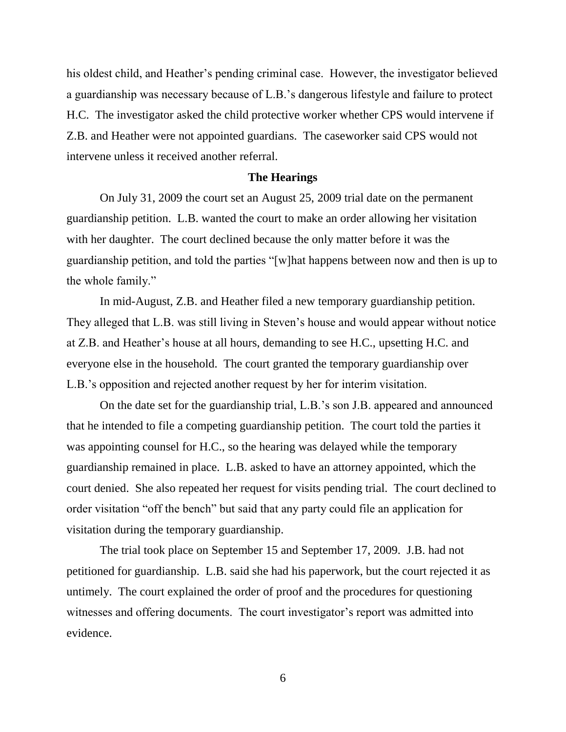his oldest child, and Heather's pending criminal case. However, the investigator believed a guardianship was necessary because of L.B."s dangerous lifestyle and failure to protect H.C. The investigator asked the child protective worker whether CPS would intervene if Z.B. and Heather were not appointed guardians. The caseworker said CPS would not intervene unless it received another referral.

### **The Hearings**

On July 31, 2009 the court set an August 25, 2009 trial date on the permanent guardianship petition. L.B. wanted the court to make an order allowing her visitation with her daughter. The court declined because the only matter before it was the guardianship petition, and told the parties "[w]hat happens between now and then is up to the whole family."

In mid-August, Z.B. and Heather filed a new temporary guardianship petition. They alleged that L.B. was still living in Steven"s house and would appear without notice at Z.B. and Heather"s house at all hours, demanding to see H.C., upsetting H.C. and everyone else in the household. The court granted the temporary guardianship over L.B."s opposition and rejected another request by her for interim visitation.

On the date set for the guardianship trial, L.B."s son J.B. appeared and announced that he intended to file a competing guardianship petition. The court told the parties it was appointing counsel for H.C., so the hearing was delayed while the temporary guardianship remained in place. L.B. asked to have an attorney appointed, which the court denied. She also repeated her request for visits pending trial. The court declined to order visitation "off the bench" but said that any party could file an application for visitation during the temporary guardianship.

The trial took place on September 15 and September 17, 2009. J.B. had not petitioned for guardianship. L.B. said she had his paperwork, but the court rejected it as untimely. The court explained the order of proof and the procedures for questioning witnesses and offering documents. The court investigator's report was admitted into evidence.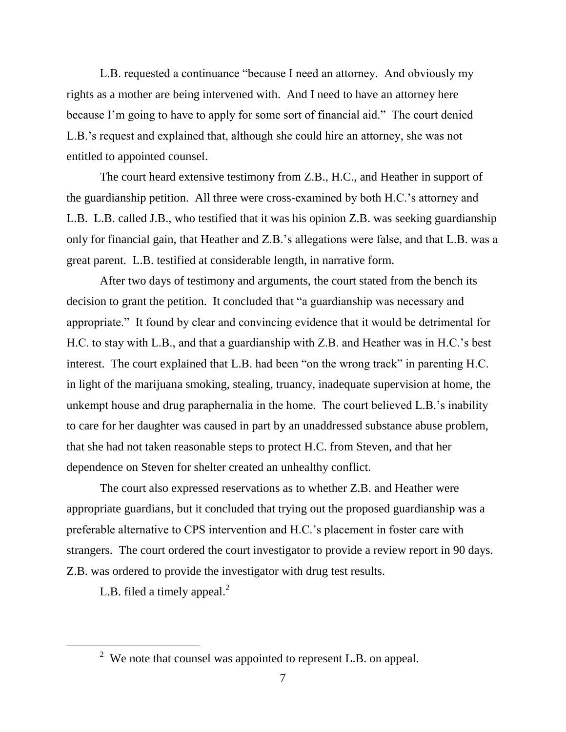L.B. requested a continuance "because I need an attorney. And obviously my rights as a mother are being intervened with. And I need to have an attorney here because I"m going to have to apply for some sort of financial aid." The court denied L.B."s request and explained that, although she could hire an attorney, she was not entitled to appointed counsel.

The court heard extensive testimony from Z.B., H.C., and Heather in support of the guardianship petition. All three were cross-examined by both H.C."s attorney and L.B. L.B. called J.B., who testified that it was his opinion Z.B. was seeking guardianship only for financial gain, that Heather and Z.B."s allegations were false, and that L.B. was a great parent. L.B. testified at considerable length, in narrative form.

After two days of testimony and arguments, the court stated from the bench its decision to grant the petition. It concluded that "a guardianship was necessary and appropriate." It found by clear and convincing evidence that it would be detrimental for H.C. to stay with L.B., and that a guardianship with Z.B. and Heather was in H.C."s best interest. The court explained that L.B. had been "on the wrong track" in parenting H.C. in light of the marijuana smoking, stealing, truancy, inadequate supervision at home, the unkempt house and drug paraphernalia in the home. The court believed L.B."s inability to care for her daughter was caused in part by an unaddressed substance abuse problem, that she had not taken reasonable steps to protect H.C. from Steven, and that her dependence on Steven for shelter created an unhealthy conflict.

The court also expressed reservations as to whether Z.B. and Heather were appropriate guardians, but it concluded that trying out the proposed guardianship was a preferable alternative to CPS intervention and H.C."s placement in foster care with strangers. The court ordered the court investigator to provide a review report in 90 days. Z.B. was ordered to provide the investigator with drug test results.

L.B. filed a timely appeal. $<sup>2</sup>$ </sup>

 $\overline{a}$ 

 $2^2$  We note that counsel was appointed to represent L.B. on appeal.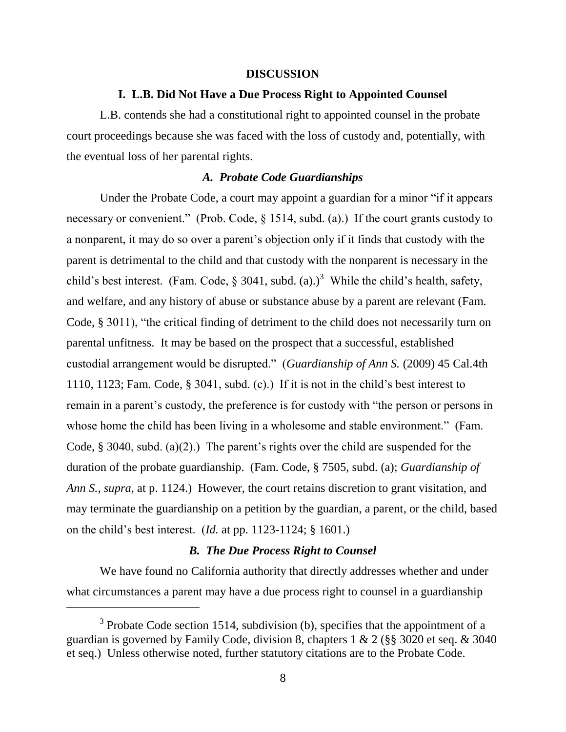#### **DISCUSSION**

#### **I. L.B. Did Not Have a Due Process Right to Appointed Counsel**

L.B. contends she had a constitutional right to appointed counsel in the probate court proceedings because she was faced with the loss of custody and, potentially, with the eventual loss of her parental rights.

## *A. Probate Code Guardianships*

Under the Probate Code, a court may appoint a guardian for a minor "if it appears necessary or convenient." (Prob. Code, § 1514, subd. (a).) If the court grants custody to a nonparent, it may do so over a parent"s objection only if it finds that custody with the parent is detrimental to the child and that custody with the nonparent is necessary in the child's best interest. (Fam. Code, § 3041, subd. (a).)<sup>3</sup> While the child's health, safety, and welfare, and any history of abuse or substance abuse by a parent are relevant (Fam. Code, § 3011), "the critical finding of detriment to the child does not necessarily turn on parental unfitness. It may be based on the prospect that a successful, established custodial arrangement would be disrupted." (*Guardianship of Ann S.* (2009) 45 Cal.4th 1110, 1123; Fam. Code, § 3041, subd. (c).) If it is not in the child"s best interest to remain in a parent's custody, the preference is for custody with "the person or persons in whose home the child has been living in a wholesome and stable environment." (Fam. Code,  $\S$  3040, subd. (a)(2).) The parent's rights over the child are suspended for the duration of the probate guardianship. (Fam. Code, § 7505, subd. (a); *Guardianship of Ann S., supra,* at p. 1124.) However, the court retains discretion to grant visitation, and may terminate the guardianship on a petition by the guardian, a parent, or the child, based on the child"s best interest. (*Id.* at pp. 1123-1124; § 1601.)

# *B. The Due Process Right to Counsel*

We have found no California authority that directly addresses whether and under what circumstances a parent may have a due process right to counsel in a guardianship

 $3$  Probate Code section 1514, subdivision (b), specifies that the appointment of a guardian is governed by Family Code, division 8, chapters 1 & 2 (§§ 3020 et seq. & 3040 et seq.) Unless otherwise noted, further statutory citations are to the Probate Code.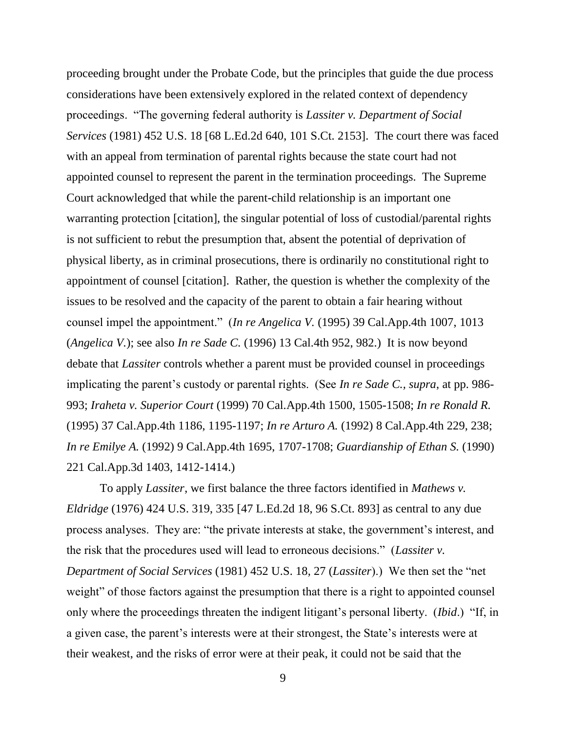proceeding brought under the Probate Code, but the principles that guide the due process considerations have been extensively explored in the related context of dependency proceedings. "The governing federal authority is *Lassiter v. Department of Social Services* (1981) 452 U.S. 18 [68 L.Ed.2d 640, 101 S.Ct. 2153]. The court there was faced with an appeal from termination of parental rights because the state court had not appointed counsel to represent the parent in the termination proceedings. The Supreme Court acknowledged that while the parent-child relationship is an important one warranting protection [citation], the singular potential of loss of custodial/parental rights is not sufficient to rebut the presumption that, absent the potential of deprivation of physical liberty, as in criminal prosecutions, there is ordinarily no constitutional right to appointment of counsel [citation]. Rather, the question is whether the complexity of the issues to be resolved and the capacity of the parent to obtain a fair hearing without counsel impel the appointment." (*In re Angelica V.* (1995) 39 Cal.App.4th 1007, 1013 (*Angelica V.*); see also *In re Sade C.* (1996) 13 Cal.4th 952, 982.) It is now beyond debate that *Lassiter* controls whether a parent must be provided counsel in proceedings implicating the parent's custody or parental rights. (See *In re Sade C., supra,* at pp. 986-993; *Iraheta v. Superior Court* (1999) 70 Cal.App.4th 1500, 1505-1508; *In re Ronald R.* (1995) 37 Cal.App.4th 1186, 1195-1197; *In re Arturo A.* (1992) 8 Cal.App.4th 229, 238; *In re Emilye A.* (1992) 9 Cal.App.4th 1695, 1707-1708; *Guardianship of Ethan S.* (1990) 221 Cal.App.3d 1403, 1412-1414.)

To apply *Lassiter*, we first balance the three factors identified in *Mathews v. Eldridge* (1976) 424 U.S. 319, 335 [47 L.Ed.2d 18, 96 S.Ct. 893] as central to any due process analyses. They are: "the private interests at stake, the government"s interest, and the risk that the procedures used will lead to erroneous decisions." (*Lassiter v. Department of Social Services* (1981) 452 U.S. 18*,* 27 (*Lassiter*).) We then set the "net weight" of those factors against the presumption that there is a right to appointed counsel only where the proceedings threaten the indigent litigant"s personal liberty. (*Ibid*.) "If, in a given case, the parent's interests were at their strongest, the State's interests were at their weakest, and the risks of error were at their peak, it could not be said that the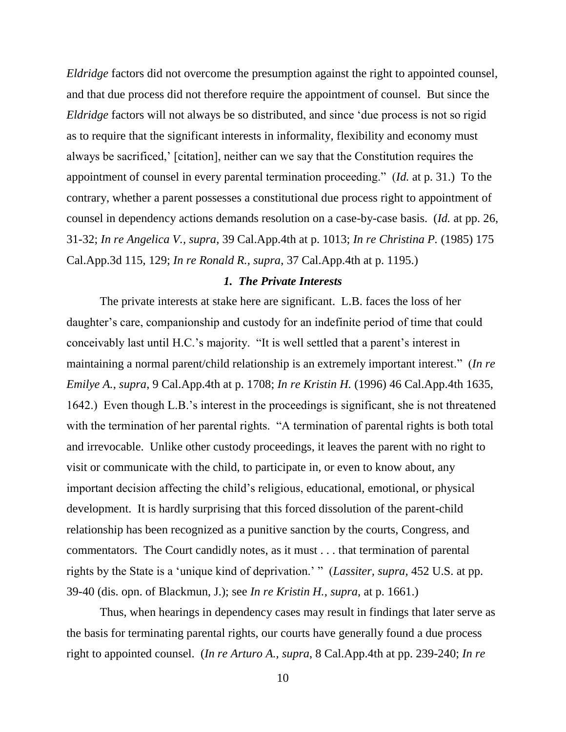*Eldridge* factors did not overcome the presumption against the right to appointed counsel, and that due process did not therefore require the appointment of counsel. But since the *Eldridge* factors will not always be so distributed, and since "due process is not so rigid as to require that the significant interests in informality, flexibility and economy must always be sacrificed,' [citation], neither can we say that the Constitution requires the appointment of counsel in every parental termination proceeding." (*Id.* at p. 31.) To the contrary, whether a parent possesses a constitutional due process right to appointment of counsel in dependency actions demands resolution on a case-by-case basis. (*Id.* at pp. 26, 31-32; *In re Angelica V., supra*, 39 Cal.App.4th at p. 1013; *In re Christina P.* (1985) 175 Cal.App.3d 115, 129; *In re Ronald R., supra*, 37 Cal.App.4th at p. 1195.)

#### *1. The Private Interests*

The private interests at stake here are significant. L.B. faces the loss of her daughter's care, companionship and custody for an indefinite period of time that could conceivably last until H.C."s majority. "It is well settled that a parent"s interest in maintaining a normal parent/child relationship is an extremely important interest." (*In re Emilye A.*, *supra*, 9 Cal.App.4th at p. 1708; *In re Kristin H.* (1996) 46 Cal.App.4th 1635, 1642.) Even though L.B."s interest in the proceedings is significant, she is not threatened with the termination of her parental rights. "A termination of parental rights is both total and irrevocable. Unlike other custody proceedings, it leaves the parent with no right to visit or communicate with the child, to participate in, or even to know about, any important decision affecting the child"s religious, educational, emotional, or physical development. It is hardly surprising that this forced dissolution of the parent-child relationship has been recognized as a punitive sanction by the courts, Congress, and commentators. The Court candidly notes, as it must . . . that termination of parental rights by the State is a "unique kind of deprivation." " (*Lassiter, supra,* 452 U.S. at pp. 39-40 (dis. opn. of Blackmun, J.); see *In re Kristin H., supra,* at p. 1661.)

Thus, when hearings in dependency cases may result in findings that later serve as the basis for terminating parental rights, our courts have generally found a due process right to appointed counsel. (*In re Arturo A., supra*, 8 Cal.App.4th at pp. 239-240; *In re*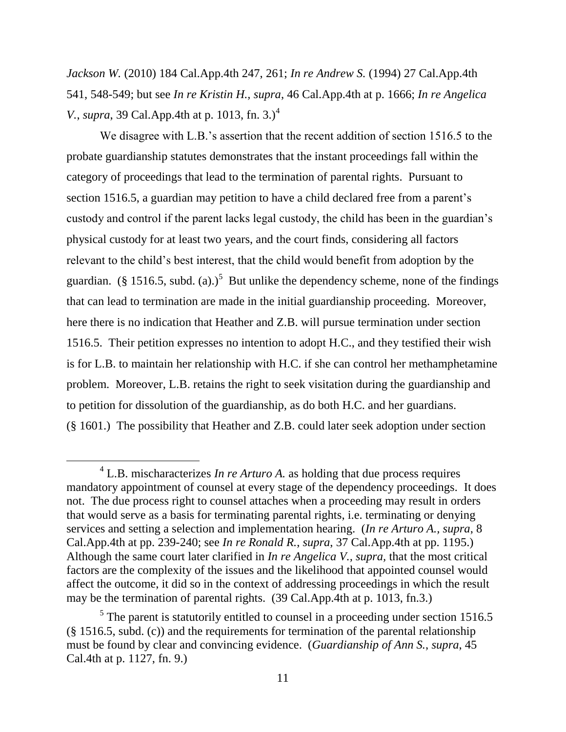*Jackson W.* (2010) 184 Cal.App.4th 247, 261; *In re Andrew S.* (1994) 27 Cal.App.4th 541, 548-549; but see *In re Kristin H., supra*, 46 Cal.App.4th at p. 1666; *In re Angelica V.*, *supra*, 39 Cal.App.4th at p. 1013, fn. 3.)<sup>4</sup>

We disagree with L.B.'s assertion that the recent addition of section 1516.5 to the probate guardianship statutes demonstrates that the instant proceedings fall within the category of proceedings that lead to the termination of parental rights. Pursuant to section 1516.5, a guardian may petition to have a child declared free from a parent's custody and control if the parent lacks legal custody, the child has been in the guardian"s physical custody for at least two years, and the court finds, considering all factors relevant to the child"s best interest, that the child would benefit from adoption by the guardian. (§ 1516.5, subd. (a).)<sup>5</sup> But unlike the dependency scheme, none of the findings that can lead to termination are made in the initial guardianship proceeding. Moreover, here there is no indication that Heather and Z.B. will pursue termination under section 1516.5. Their petition expresses no intention to adopt H.C., and they testified their wish is for L.B. to maintain her relationship with H.C. if she can control her methamphetamine problem. Moreover, L.B. retains the right to seek visitation during the guardianship and to petition for dissolution of the guardianship, as do both H.C. and her guardians. (§ 1601.) The possibility that Heather and Z.B. could later seek adoption under section

 $4$  L.B. mischaracterizes *In re Arturo A*. as holding that due process requires mandatory appointment of counsel at every stage of the dependency proceedings*.* It does not. The due process right to counsel attaches when a proceeding may result in orders that would serve as a basis for terminating parental rights, i.e. terminating or denying services and setting a selection and implementation hearing. (*In re Arturo A., supra*, 8 Cal.App.4th at pp. 239-240; see *In re Ronald R.*, *supra*, 37 Cal.App.4th at pp. 1195.) Although the same court later clarified in *In re Angelica V., supra,* that the most critical factors are the complexity of the issues and the likelihood that appointed counsel would affect the outcome, it did so in the context of addressing proceedings in which the result may be the termination of parental rights. (39 Cal.App.4th at p. 1013, fn.3.)

<sup>&</sup>lt;sup>5</sup> The parent is statutorily entitled to counsel in a proceeding under section 1516.5 (§ 1516.5, subd. (c)) and the requirements for termination of the parental relationship must be found by clear and convincing evidence. (*Guardianship of Ann S.*, *supra*, 45 Cal.4th at p. 1127, fn. 9.)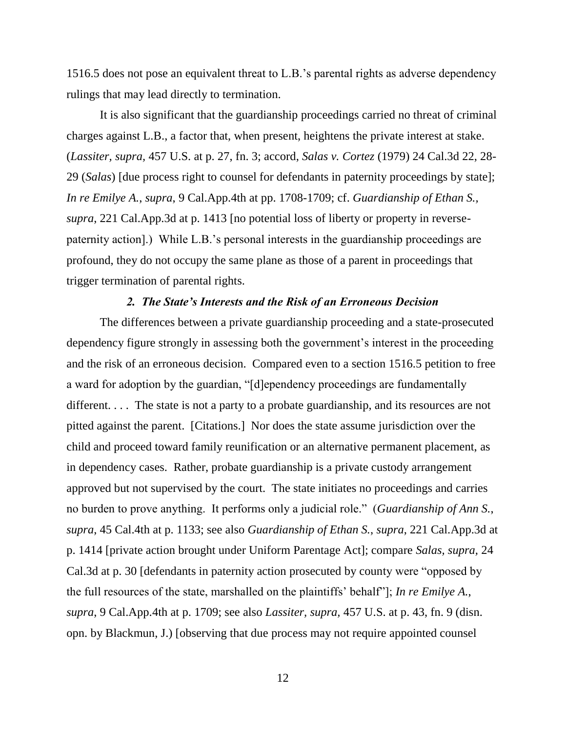1516.5 does not pose an equivalent threat to L.B."s parental rights as adverse dependency rulings that may lead directly to termination.

It is also significant that the guardianship proceedings carried no threat of criminal charges against L.B., a factor that, when present, heightens the private interest at stake. (*Lassiter, supra,* 457 U.S. at p. 27, fn. 3; accord, *Salas v. Cortez* (1979) 24 Cal.3d 22, 28- 29 (*Salas*) [due process right to counsel for defendants in paternity proceedings by state]; *In re Emilye A.*, *supra*, 9 Cal.App.4th at pp. 1708-1709; cf. *Guardianship of Ethan S., supra*, 221 Cal.App.3d at p. 1413 [no potential loss of liberty or property in reversepaternity action].) While L.B."s personal interests in the guardianship proceedings are profound, they do not occupy the same plane as those of a parent in proceedings that trigger termination of parental rights.

### *2. The State's Interests and the Risk of an Erroneous Decision*

The differences between a private guardianship proceeding and a state-prosecuted dependency figure strongly in assessing both the government's interest in the proceeding and the risk of an erroneous decision. Compared even to a section 1516.5 petition to free a ward for adoption by the guardian, "[d]ependency proceedings are fundamentally different.... The state is not a party to a probate guardianship, and its resources are not pitted against the parent. [Citations.] Nor does the state assume jurisdiction over the child and proceed toward family reunification or an alternative permanent placement, as in dependency cases. Rather, probate guardianship is a private custody arrangement approved but not supervised by the court. The state initiates no proceedings and carries no burden to prove anything. It performs only a judicial role." (*Guardianship of Ann S.*, *supra*, 45 Cal.4th at p. 1133; see also *Guardianship of Ethan S.*, *supra*, 221 Cal.App.3d at p. 1414 [private action brought under Uniform Parentage Act]; compare *Salas, supra,* 24 Cal.3d at p. 30 [defendants in paternity action prosecuted by county were "opposed by the full resources of the state, marshalled on the plaintiffs" behalf"]; *In re Emilye A.*, *supra*, 9 Cal.App.4th at p. 1709; see also *Lassiter, supra,* 457 U.S. at p. 43, fn. 9 (disn. opn. by Blackmun, J.) [observing that due process may not require appointed counsel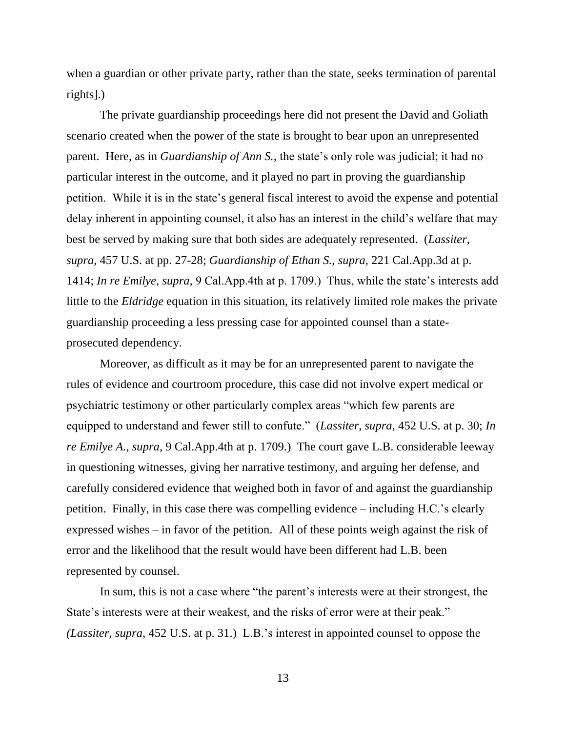when a guardian or other private party, rather than the state, seeks termination of parental rights].)

The private guardianship proceedings here did not present the David and Goliath scenario created when the power of the state is brought to bear upon an unrepresented parent. Here, as in *Guardianship of Ann S.*, the state's only role was judicial; it had no particular interest in the outcome, and it played no part in proving the guardianship petition. While it is in the state's general fiscal interest to avoid the expense and potential delay inherent in appointing counsel, it also has an interest in the child"s welfare that may best be served by making sure that both sides are adequately represented. (*Lassiter, supra,* 457 U.S. at pp. 27-28; *Guardianship of Ethan S., supra,* 221 Cal.App.3d at p. 1414; *In re Emilye, supra,* 9 Cal.App.4th at p. 1709.) Thus, while the state"s interests add little to the *Eldridge* equation in this situation, its relatively limited role makes the private guardianship proceeding a less pressing case for appointed counsel than a stateprosecuted dependency.

Moreover, as difficult as it may be for an unrepresented parent to navigate the rules of evidence and courtroom procedure, this case did not involve expert medical or psychiatric testimony or other particularly complex areas "which few parents are equipped to understand and fewer still to confute." (*Lassiter, supra*, 452 U.S. at p. 30; *In re Emilye A., supra,* 9 Cal.App.4th at p. 1709.) The court gave L.B. considerable leeway in questioning witnesses, giving her narrative testimony, and arguing her defense, and carefully considered evidence that weighed both in favor of and against the guardianship petition. Finally, in this case there was compelling evidence – including H.C."s clearly expressed wishes – in favor of the petition. All of these points weigh against the risk of error and the likelihood that the result would have been different had L.B. been represented by counsel.

In sum, this is not a case where "the parent's interests were at their strongest, the State's interests were at their weakest, and the risks of error were at their peak." *(Lassiter, supra,* 452 U.S. at p. 31.) L.B."s interest in appointed counsel to oppose the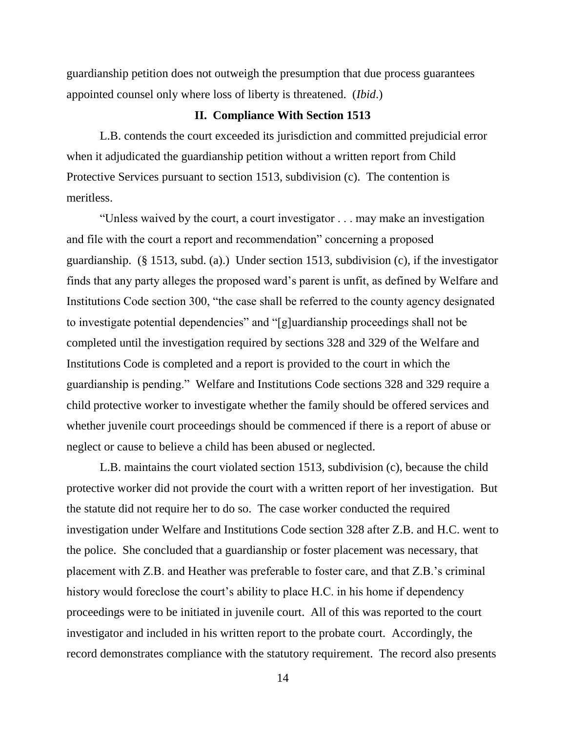guardianship petition does not outweigh the presumption that due process guarantees appointed counsel only where loss of liberty is threatened. (*Ibid*.)

## **II. Compliance With Section 1513**

L.B. contends the court exceeded its jurisdiction and committed prejudicial error when it adjudicated the guardianship petition without a written report from Child Protective Services pursuant to section 1513, subdivision (c). The contention is meritless.

"Unless waived by the court, a court investigator . . . may make an investigation and file with the court a report and recommendation" concerning a proposed guardianship. (§ 1513, subd. (a).) Under section 1513, subdivision (c), if the investigator finds that any party alleges the proposed ward"s parent is unfit, as defined by Welfare and Institutions Code section 300, "the case shall be referred to the county agency designated to investigate potential dependencies" and "[g]uardianship proceedings shall not be completed until the investigation required by sections 328 and 329 of the Welfare and Institutions Code is completed and a report is provided to the court in which the guardianship is pending." Welfare and Institutions Code sections 328 and 329 require a child protective worker to investigate whether the family should be offered services and whether juvenile court proceedings should be commenced if there is a report of abuse or neglect or cause to believe a child has been abused or neglected.

L.B. maintains the court violated section 1513, subdivision (c), because the child protective worker did not provide the court with a written report of her investigation. But the statute did not require her to do so. The case worker conducted the required investigation under Welfare and Institutions Code section 328 after Z.B. and H.C. went to the police. She concluded that a guardianship or foster placement was necessary, that placement with Z.B. and Heather was preferable to foster care, and that Z.B."s criminal history would foreclose the court's ability to place H.C. in his home if dependency proceedings were to be initiated in juvenile court. All of this was reported to the court investigator and included in his written report to the probate court. Accordingly, the record demonstrates compliance with the statutory requirement. The record also presents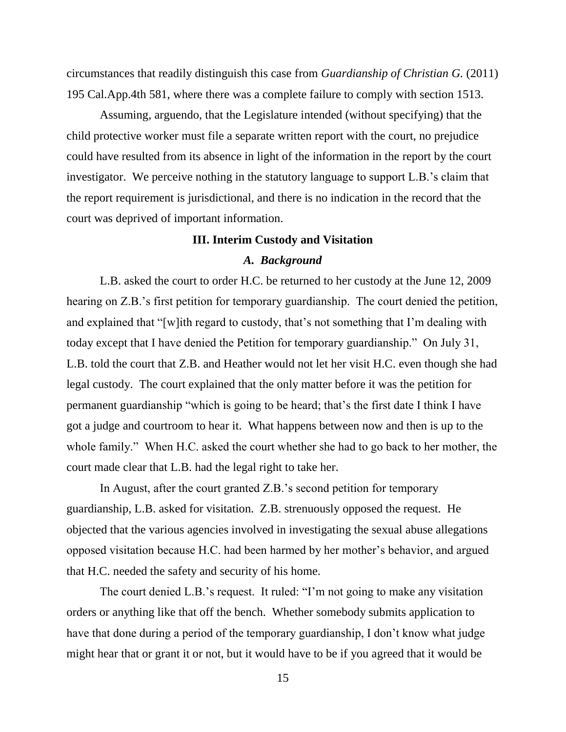circumstances that readily distinguish this case from *Guardianship of Christian G.* (2011) 195 Cal.App.4th 581, where there was a complete failure to comply with section 1513.

Assuming, arguendo, that the Legislature intended (without specifying) that the child protective worker must file a separate written report with the court, no prejudice could have resulted from its absence in light of the information in the report by the court investigator. We perceive nothing in the statutory language to support L.B."s claim that the report requirement is jurisdictional, and there is no indication in the record that the court was deprived of important information.

# **III. Interim Custody and Visitation**

### *A. Background*

L.B. asked the court to order H.C. be returned to her custody at the June 12, 2009 hearing on Z.B.'s first petition for temporary guardianship. The court denied the petition, and explained that "[w]ith regard to custody, that's not something that I'm dealing with today except that I have denied the Petition for temporary guardianship." On July 31, L.B. told the court that Z.B. and Heather would not let her visit H.C. even though she had legal custody. The court explained that the only matter before it was the petition for permanent guardianship "which is going to be heard; that"s the first date I think I have got a judge and courtroom to hear it. What happens between now and then is up to the whole family." When H.C. asked the court whether she had to go back to her mother, the court made clear that L.B. had the legal right to take her.

In August, after the court granted Z.B."s second petition for temporary guardianship, L.B. asked for visitation. Z.B. strenuously opposed the request. He objected that the various agencies involved in investigating the sexual abuse allegations opposed visitation because H.C. had been harmed by her mother"s behavior, and argued that H.C. needed the safety and security of his home.

The court denied L.B."s request. It ruled: "I"m not going to make any visitation orders or anything like that off the bench. Whether somebody submits application to have that done during a period of the temporary guardianship, I don"t know what judge might hear that or grant it or not, but it would have to be if you agreed that it would be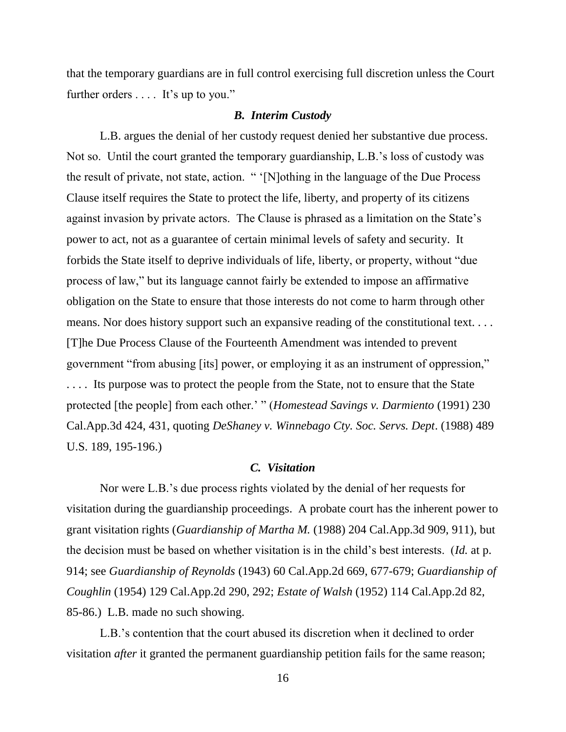that the temporary guardians are in full control exercising full discretion unless the Court further orders .... It's up to you."

#### *B. Interim Custody*

L.B. argues the denial of her custody request denied her substantive due process. Not so. Until the court granted the temporary guardianship, L.B."s loss of custody was the result of private, not state, action. " "[N]othing in the language of the Due Process Clause itself requires the State to protect the life, liberty, and property of its citizens against invasion by private actors. The Clause is phrased as a limitation on the State's power to act, not as a guarantee of certain minimal levels of safety and security. It forbids the State itself to deprive individuals of life, liberty, or property, without "due process of law," but its language cannot fairly be extended to impose an affirmative obligation on the State to ensure that those interests do not come to harm through other means. Nor does history support such an expansive reading of the constitutional text. . . . [T]he Due Process Clause of the Fourteenth Amendment was intended to prevent government "from abusing [its] power, or employing it as an instrument of oppression," . . . . Its purpose was to protect the people from the State, not to ensure that the State protected [the people] from each other." " (*Homestead Savings v. Darmiento* (1991) 230 Cal.App.3d 424, 431, quoting *DeShaney v. Winnebago Cty. Soc. Servs. Dept*. (1988) 489 U.S. 189, 195-196.)

### *C. Visitation*

Nor were L.B."s due process rights violated by the denial of her requests for visitation during the guardianship proceedings. A probate court has the inherent power to grant visitation rights (*Guardianship of Martha M.* (1988) 204 Cal.App.3d 909, 911), but the decision must be based on whether visitation is in the child"s best interests. (*Id.* at p. 914; see *Guardianship of Reynolds* (1943) 60 Cal.App.2d 669, 677-679; *Guardianship of Coughlin* (1954) 129 Cal.App.2d 290, 292; *Estate of Walsh* (1952) 114 Cal.App.2d 82, 85-86.) L.B. made no such showing.

L.B."s contention that the court abused its discretion when it declined to order visitation *after* it granted the permanent guardianship petition fails for the same reason;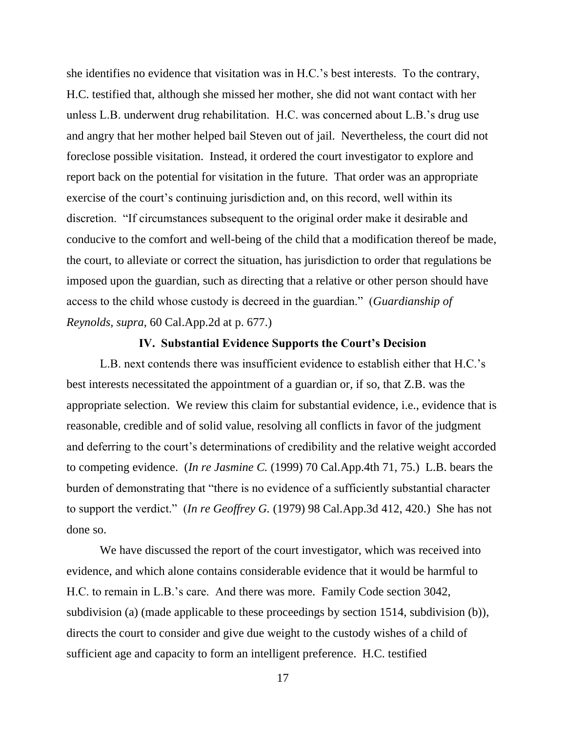she identifies no evidence that visitation was in H.C."s best interests. To the contrary, H.C. testified that, although she missed her mother, she did not want contact with her unless L.B. underwent drug rehabilitation. H.C. was concerned about L.B."s drug use and angry that her mother helped bail Steven out of jail. Nevertheless, the court did not foreclose possible visitation. Instead, it ordered the court investigator to explore and report back on the potential for visitation in the future. That order was an appropriate exercise of the court's continuing jurisdiction and, on this record, well within its discretion. "If circumstances subsequent to the original order make it desirable and conducive to the comfort and well-being of the child that a modification thereof be made, the court, to alleviate or correct the situation, has jurisdiction to order that regulations be imposed upon the guardian, such as directing that a relative or other person should have access to the child whose custody is decreed in the guardian." (*Guardianship of Reynolds, supra*, 60 Cal.App.2d at p. 677.)

#### **IV. Substantial Evidence Supports the Court's Decision**

L.B. next contends there was insufficient evidence to establish either that H.C."s best interests necessitated the appointment of a guardian or, if so, that Z.B. was the appropriate selection. We review this claim for substantial evidence, i.e., evidence that is reasonable, credible and of solid value, resolving all conflicts in favor of the judgment and deferring to the court's determinations of credibility and the relative weight accorded to competing evidence. (*In re Jasmine C.* (1999) 70 Cal.App.4th 71, 75.) L.B. bears the burden of demonstrating that "there is no evidence of a sufficiently substantial character to support the verdict." (*In re Geoffrey G.* (1979) 98 Cal.App.3d 412, 420.) She has not done so.

We have discussed the report of the court investigator, which was received into evidence, and which alone contains considerable evidence that it would be harmful to H.C. to remain in L.B."s care. And there was more. Family Code section 3042, subdivision (a) (made applicable to these proceedings by section 1514, subdivision (b)), directs the court to consider and give due weight to the custody wishes of a child of sufficient age and capacity to form an intelligent preference. H.C. testified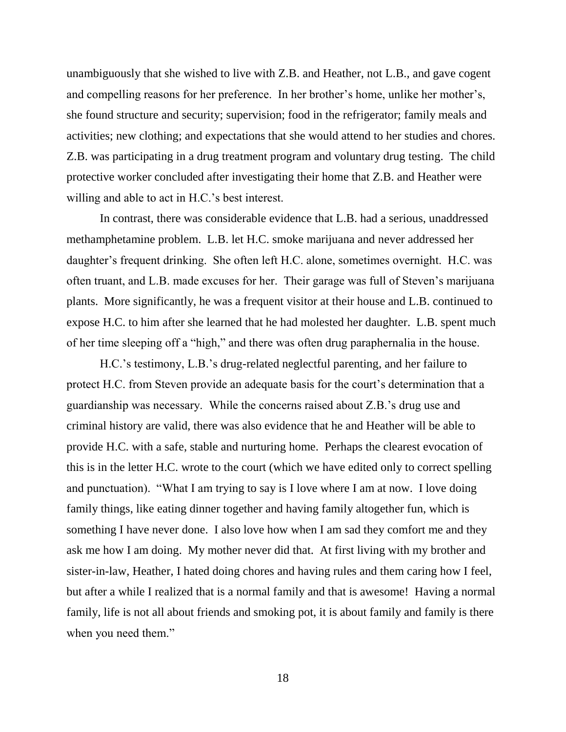unambiguously that she wished to live with Z.B. and Heather, not L.B., and gave cogent and compelling reasons for her preference. In her brother"s home, unlike her mother"s, she found structure and security; supervision; food in the refrigerator; family meals and activities; new clothing; and expectations that she would attend to her studies and chores. Z.B. was participating in a drug treatment program and voluntary drug testing. The child protective worker concluded after investigating their home that Z.B. and Heather were willing and able to act in H.C.'s best interest.

In contrast, there was considerable evidence that L.B. had a serious, unaddressed methamphetamine problem. L.B. let H.C. smoke marijuana and never addressed her daughter"s frequent drinking. She often left H.C. alone, sometimes overnight. H.C. was often truant, and L.B. made excuses for her. Their garage was full of Steven"s marijuana plants. More significantly, he was a frequent visitor at their house and L.B. continued to expose H.C. to him after she learned that he had molested her daughter. L.B. spent much of her time sleeping off a "high," and there was often drug paraphernalia in the house.

H.C."s testimony, L.B."s drug-related neglectful parenting, and her failure to protect H.C. from Steven provide an adequate basis for the court's determination that a guardianship was necessary. While the concerns raised about Z.B."s drug use and criminal history are valid, there was also evidence that he and Heather will be able to provide H.C. with a safe, stable and nurturing home. Perhaps the clearest evocation of this is in the letter H.C. wrote to the court (which we have edited only to correct spelling and punctuation). "What I am trying to say is I love where I am at now. I love doing family things, like eating dinner together and having family altogether fun, which is something I have never done. I also love how when I am sad they comfort me and they ask me how I am doing. My mother never did that. At first living with my brother and sister-in-law, Heather, I hated doing chores and having rules and them caring how I feel, but after a while I realized that is a normal family and that is awesome! Having a normal family, life is not all about friends and smoking pot, it is about family and family is there when you need them."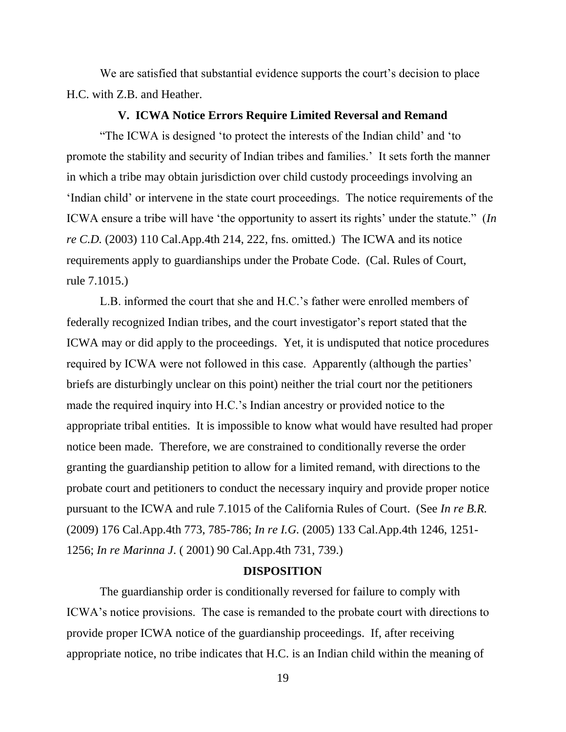We are satisfied that substantial evidence supports the court's decision to place H.C. with Z.B. and Heather.

#### **V. ICWA Notice Errors Require Limited Reversal and Remand**

"The ICWA is designed "to protect the interests of the Indian child" and "to promote the stability and security of Indian tribes and families." It sets forth the manner in which a tribe may obtain jurisdiction over child custody proceedings involving an "Indian child" or intervene in the state court proceedings. The notice requirements of the ICWA ensure a tribe will have "the opportunity to assert its rights" under the statute." (*In re C.D.* (2003) 110 Cal.App.4th 214, 222, fns. omitted.) The ICWA and its notice requirements apply to guardianships under the Probate Code. (Cal. Rules of Court, rule 7.1015.)

L.B. informed the court that she and H.C."s father were enrolled members of federally recognized Indian tribes, and the court investigator's report stated that the ICWA may or did apply to the proceedings. Yet, it is undisputed that notice procedures required by ICWA were not followed in this case. Apparently (although the parties' briefs are disturbingly unclear on this point) neither the trial court nor the petitioners made the required inquiry into H.C."s Indian ancestry or provided notice to the appropriate tribal entities. It is impossible to know what would have resulted had proper notice been made. Therefore, we are constrained to conditionally reverse the order granting the guardianship petition to allow for a limited remand, with directions to the probate court and petitioners to conduct the necessary inquiry and provide proper notice pursuant to the ICWA and rule 7.1015 of the California Rules of Court. (See *In re B.R.* (2009) 176 Cal.App.4th 773, 785-786; *In re I.G.* (2005) 133 Cal.App.4th 1246, 1251- 1256; *In re Marinna J*. ( 2001) 90 Cal.App.4th 731, 739.)

### **DISPOSITION**

The guardianship order is conditionally reversed for failure to comply with ICWA"s notice provisions. The case is remanded to the probate court with directions to provide proper ICWA notice of the guardianship proceedings. If, after receiving appropriate notice, no tribe indicates that H.C. is an Indian child within the meaning of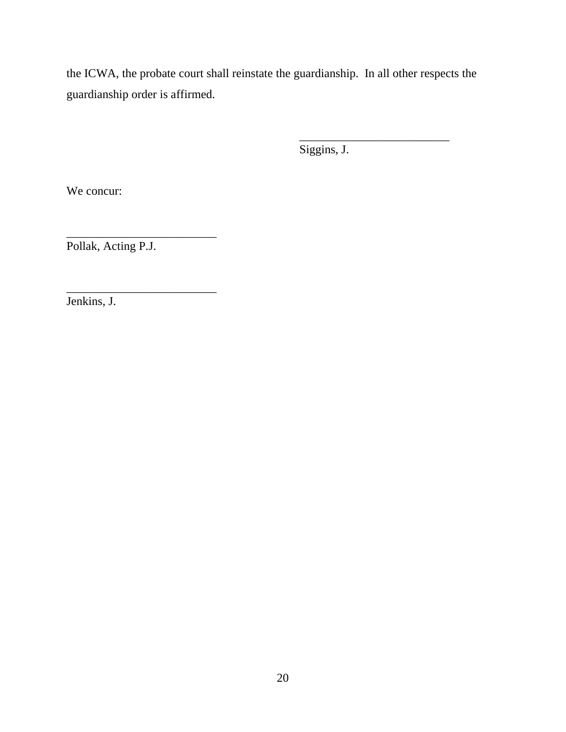the ICWA, the probate court shall reinstate the guardianship. In all other respects the guardianship order is affirmed.

Siggins, J.

\_\_\_\_\_\_\_\_\_\_\_\_\_\_\_\_\_\_\_\_\_\_\_\_\_

We concur:

Pollak, Acting P.J.

\_\_\_\_\_\_\_\_\_\_\_\_\_\_\_\_\_\_\_\_\_\_\_\_\_

\_\_\_\_\_\_\_\_\_\_\_\_\_\_\_\_\_\_\_\_\_\_\_\_\_

Jenkins, J.